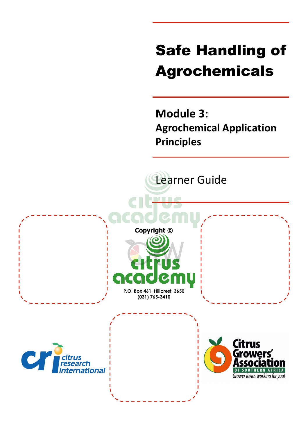# Safe Handling of Agrochemicals

**Module 3: Agrochemical Application Principles**

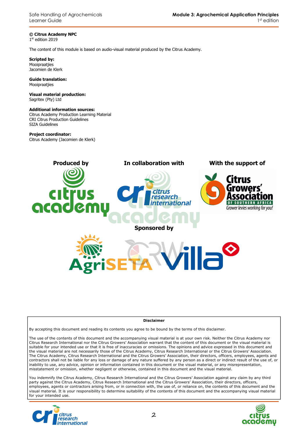Safe Handling of Agrochemicals Learner Guide

**© Citrus Academy NPC**  1 st edition 2019

The content of this module is based on audio-visual material produced by the Citrus Academy.

**Scripted by:**  Mooipraatjies Jacomien de Klerk

**Guide translation:**  Mooipraatjies

**Visual material production:**  Sagritex (Pty) Ltd

#### **Additional information sources:**

Citrus Academy Production Learning Material CRI Citrus Production Guidelines SIZA Guidelines

#### **Project coordinator:**

Citrus Academy (Jacomien de Klerk)



#### **Disclaimer**

By accepting this document and reading its contents you agree to be bound by the terms of this disclaimer.

The use of the contents of this document and the accompanying visual material is at your own risk. Neither the Citrus Academy nor Citrus Research International nor the Citrus Growers' Association warrant that the content of this document or the visual material is suitable for your intended use or that it is free of inaccuracies or omissions. The opinions and advice expressed in this document and the visual material are not necessarily those of the Citrus Academy, Citrus Research International or the Citrus Growers' Association. The Citrus Academy, Citrus Research International and the Citrus Growers' Association, their directors, officers, employees, agents and contractors shall not be liable for any loss or damage of any nature suffered by any person as a direct or indirect result of the use of, or inability to use, any advice, opinion or information contained in this document or the visual material, or any misrepresentation, misstatement or omission, whether negligent or otherwise, contained in this document and the visual material.

You indemnify the Citrus Academy, Citrus Research International and the Citrus Growers' Association against any claim by any third party against the Citrus Academy, Citrus Research International and the Citrus Growers' Association, their directors, officers, employees, agents or contractors arising from, or in connection with, the use of, or reliance on, the contents of this document and the visual material. It is your responsibility to determine suitability of the contents of this document and the accompanying visual material for your intended use.



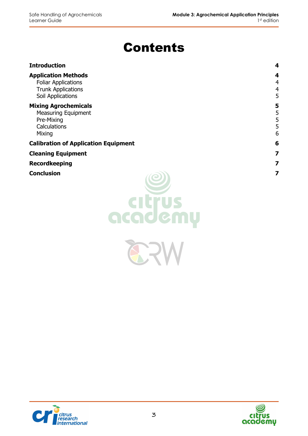# Contents

| <b>Introduction</b>                                                                                        | 4                             |
|------------------------------------------------------------------------------------------------------------|-------------------------------|
| <b>Application Methods</b><br><b>Foliar Applications</b><br><b>Trunk Applications</b><br>Soil Applications | 4<br>4<br>$\overline{4}$<br>5 |
| <b>Mixing Agrochemicals</b><br><b>Measuring Equipment</b><br>Pre-Mixing<br>Calculations<br>Mixing          | 5<br>5<br>5<br>5<br>6         |
| <b>Calibration of Application Equipment</b>                                                                | 6                             |
| <b>Cleaning Equipment</b>                                                                                  | 7                             |
| <b>Recordkeeping</b>                                                                                       | 7                             |
| Conclusion                                                                                                 | 7                             |





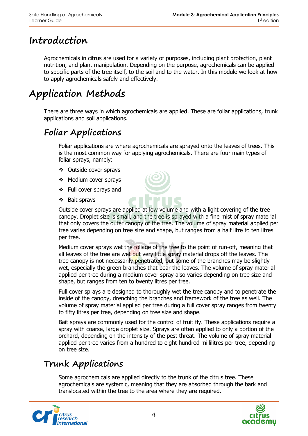# **Introduction**

Agrochemicals in citrus are used for a variety of purposes, including plant protection, plant nutrition, and plant manipulation. Depending on the purpose, agrochemicals can be applied to specific parts of the tree itself, to the soil and to the water. In this module we look at how to apply agrochemicals safely and effectively.

# **Application Methods**

There are three ways in which agrochemicals are applied. These are foliar applications, trunk applications and soil applications.

# **Foliar Applications**

Foliar applications are where agrochemicals are sprayed onto the leaves of trees. This is the most common way for applying agrochemicals. There are four main types of foliar sprays, namely:

- Outside cover sprays
- ❖ Medium cover sprays
- ❖ Full cover sprays and
- Bait sprays



Medium cover sprays wet the foliage of the tree to the point of run-off, meaning that all leaves of the tree are wet but very little spray material drops off the leaves. The tree canopy is not necessarily penetrated, but some of the branches may be slightly wet, especially the green branches that bear the leaves. The volume of spray material applied per tree during a medium cover spray also varies depending on tree size and shape, but ranges from ten to twenty litres per tree.

Full cover sprays are designed to thoroughly wet the tree canopy and to penetrate the inside of the canopy, drenching the branches and framework of the tree as well. The volume of spray material applied per tree during a full cover spray ranges from twenty to fifty litres per tree, depending on tree size and shape.

Bait sprays are commonly used for the control of fruit fly. These applications require a spray with coarse, large droplet size. Sprays are often applied to only a portion of the orchard, depending on the intensity of the pest threat. The volume of spray material applied per tree varies from a hundred to eight hundred millilitres per tree, depending on tree size.

# **Trunk Applications**

Some agrochemicals are applied directly to the trunk of the citrus tree. These agrochemicals are systemic, meaning that they are absorbed through the bark and translocated within the tree to the area where they are required.



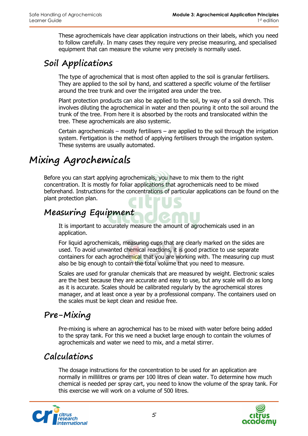These agrochemicals have clear application instructions on their labels, which you need to follow carefully. In many cases they require very precise measuring, and specialised equipment that can measure the volume very precisely is normally used.

# **Soil Applications**

The type of agrochemical that is most often applied to the soil is granular fertilisers. They are applied to the soil by hand, and scattered a specific volume of the fertiliser around the tree trunk and over the irrigated area under the tree.

Plant protection products can also be applied to the soil, by way of a soil drench. This involves diluting the agrochemical in water and then pouring it onto the soil around the trunk of the tree. From here it is absorbed by the roots and translocated within the tree. These agrochemicals are also systemic.

Certain agrochemicals – mostly fertilisers – are applied to the soil through the irrigation system. Fertigation is the method of applying fertilisers through the irrigation system. These systems are usually automated.

# **Mixing Agrochemicals**

Before you can start applying agrochemicals, you have to mix them to the right concentration. It is mostly for foliar applications that agrochemicals need to be mixed beforehand. Instructions for the concentrations of particular applications can be found on the plant protection plan.

#### **Measuring Equipment**

It is important to accurately measure the amount of agrochemicals used in an application.

For liquid agrochemicals, measuring cups that are clearly marked on the sides are used. To avoid unwanted chemical reactions, it is good practice to use separate containers for each agrochemical that you are working with. The measuring cup must also be big enough to contain the total volume that you need to measure.

Scales are used for granular chemicals that are measured by weight. Electronic scales are the best because they are accurate and easy to use, but any scale will do as long as it is accurate. Scales should be calibrated regularly by the agrochemical stores manager, and at least once a year by a professional company. The containers used on the scales must be kept clean and residue free.

# **Pre-Mixing**

Pre-mixing is where an agrochemical has to be mixed with water before being added to the spray tank. For this we need a bucket large enough to contain the volumes of agrochemicals and water we need to mix, and a metal stirrer.

#### **Calculations**

The dosage instructions for the concentration to be used for an application are normally in millilitres or grams per 100 litres of clean water. To determine how much chemical is needed per spray cart, you need to know the volume of the spray tank. For this exercise we will work on a volume of 500 litres.



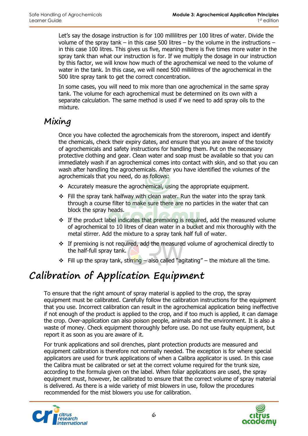Let's say the dosage instruction is for 100 millilitres per 100 litres of water. Divide the volume of the spray tank – in this case 500 litres – by the volume in the instructions – in this case 100 litres. This gives us five, meaning there is five times more water in the spray tank than what our instruction is for. If we multiply the dosage in our instruction by this factor, we will know how much of the agrochemical we need to the volume of water in the tank. In this case, we will need 500 millilitres of the agrochemical in the 500 litre spray tank to get the correct concentration.

In some cases, you will need to mix more than one agrochemical in the same spray tank. The volume for each agrochemical must be determined on its own with a separate calculation. The same method is used if we need to add spray oils to the mixture.

#### **Mixing**

Once you have collected the agrochemicals from the storeroom, inspect and identify the chemicals, check their expiry dates, and ensure that you are aware of the toxicity of agrochemicals and safety instructions for handling them. Put on the necessary protective clothing and gear. Clean water and soap must be available so that you can immediately wash if an agrochemical comes into contact with skin, and so that you can wash after handling the agrochemicals. After you have identified the volumes of the agrochemicals that you need, do as follows:

- Accurately measure the agrochemical, using the appropriate equipment.
- $\div$  Fill the spray tank halfway with clean water. Run the water into the spray tank through a course filter to make sure there are no particles in the water that can block the spray heads.
- $\cdot$  If the product label indicates that premixing is required, add the measured volume of agrochemical to 10 litres of clean water in a bucket and mix thoroughly with the metal stirrer. Add the mixture to a spray tank half full of water.
- $\div$  If premixing is not required, add the measured volume of agrochemical directly to the half-full spray tank.
- Fill up the spray tank, stirring also called "agitating" the mixture all the time.

# **Calibration of Application Equipment**

To ensure that the right amount of spray material is applied to the crop, the spray equipment must be calibrated. Carefully follow the calibration instructions for the equipment that you use. Incorrect calibration can result in the agrochemical application being ineffective if not enough of the product is applied to the crop, and if too much is applied, it can damage the crop. Over-application can also poison people, animals and the environment. It is also a waste of money. Check equipment thoroughly before use. Do not use faulty equipment, but report it as soon as you are aware of it.

For trunk applications and soil drenches, plant protection products are measured and equipment calibration is therefore not normally needed. The exception is for where special applicators are used for trunk applications of when a Calibra applicator is used. In this case the Calibra must be calibrated or set at the correct volume required for the trunk size, according to the formula given on the label. When foliar applications are used, the spray equipment must, however, be calibrated to ensure that the correct volume of spray material is delivered. As there is a wide variety of mist blowers in use, follow the procedures recommended for the mist blowers you use for calibration.